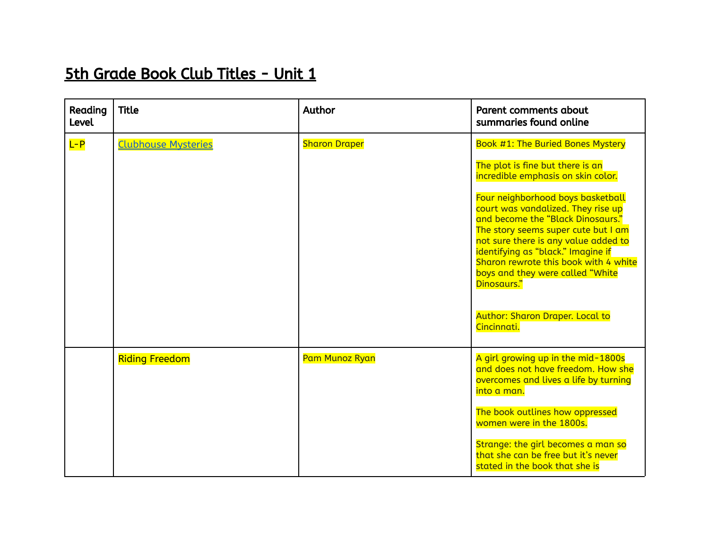## 5th Grade Book Club Titles - Unit 1

| Reading<br><b>Level</b> | <b>Title</b>               | Author               | Parent comments about<br>summaries found online                                                                                                                                                                                                                                                                                                                                 |
|-------------------------|----------------------------|----------------------|---------------------------------------------------------------------------------------------------------------------------------------------------------------------------------------------------------------------------------------------------------------------------------------------------------------------------------------------------------------------------------|
| $L - P$                 | <b>Clubhouse Mysteries</b> | <b>Sharon Draper</b> | Book #1: The Buried Bones Mystery                                                                                                                                                                                                                                                                                                                                               |
|                         |                            |                      | The plot is fine but there is an<br>incredible emphasis on skin color.                                                                                                                                                                                                                                                                                                          |
|                         |                            |                      | Four neighborhood boys basketball<br>court was vandalized. They rise up<br>and become the "Black Dinosaurs."<br>The story seems super cute but I am<br>not sure there is any value added to<br>identifying as "black." Imagine if<br>Sharon rewrote this book with 4 white<br>boys and they were called "White<br>Dinosaurs."<br>Author: Sharon Draper. Local to<br>Cincinnati. |
|                         | <b>Riding Freedom</b>      | Pam Munoz Ryan       | A girl growing up in the mid-1800s<br>and does not have freedom. How she<br>overcomes and lives a life by turning<br>into a man.<br>The book outlines how oppressed<br>women were in the 1800s.<br>Strange: the girl becomes a man so<br>that she can be free but it's never<br>stated in the book that she is                                                                  |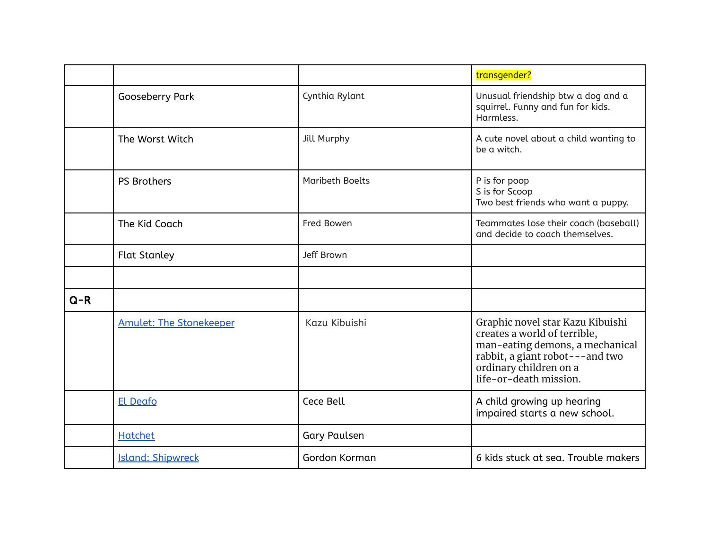|         |                                |                        | transgender?                                                                                                                                                                               |
|---------|--------------------------------|------------------------|--------------------------------------------------------------------------------------------------------------------------------------------------------------------------------------------|
|         | Gooseberry Park                | Cynthia Rylant         | Unusual friendship btw a dog and a<br>squirrel. Funny and fun for kids.<br>Harmless.                                                                                                       |
|         | The Worst Witch                | <b>Jill Murphy</b>     | A cute novel about a child wanting to<br>be a witch.                                                                                                                                       |
|         | PS Brothers                    | <b>Maribeth Boelts</b> | P is for poop<br>S is for Scoop<br>Two best friends who want a puppy.                                                                                                                      |
|         | The Kid Coach                  | Fred Bowen             | Teammates lose their coach (baseball)<br>and decide to coach themselves.                                                                                                                   |
|         | <b>Flat Stanley</b>            | Jeff Brown             |                                                                                                                                                                                            |
|         |                                |                        |                                                                                                                                                                                            |
| $Q - R$ |                                |                        |                                                                                                                                                                                            |
|         | <b>Amulet: The Stonekeeper</b> | Kazu Kibuishi          | Graphic novel star Kazu Kibuishi<br>creates a world of terrible,<br>man-eating demons, a mechanical<br>rabbit, a giant robot---and two<br>ordinary children on a<br>life-or-death mission. |
|         | <b>El Deafo</b>                | Cece Bell              | A child growing up hearing<br>impaired starts a new school.                                                                                                                                |
|         | Hatchet                        | <b>Gary Paulsen</b>    |                                                                                                                                                                                            |
|         | <b>Island: Shipwreck</b>       | Gordon Korman          | 6 kids stuck at sea. Trouble makers                                                                                                                                                        |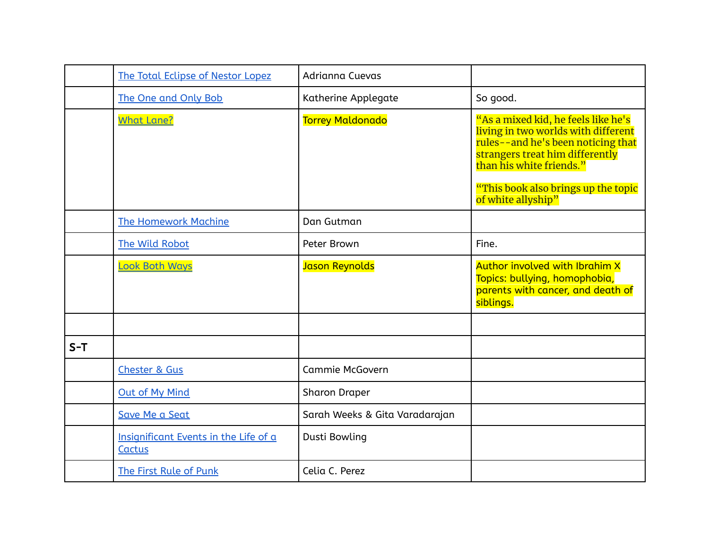|       | The Total Eclipse of Nestor Lopez               | Adrianna Cuevas                |                                                                                                                                                                                                                                              |
|-------|-------------------------------------------------|--------------------------------|----------------------------------------------------------------------------------------------------------------------------------------------------------------------------------------------------------------------------------------------|
|       | The One and Only Bob                            | Katherine Applegate            | So good.                                                                                                                                                                                                                                     |
|       | <b>What Lane?</b>                               | <b>Torrey Maldonado</b>        | "As a mixed kid, he feels like he's<br>living in two worlds with different<br>rules--and he's been noticing that<br>strangers treat him differently<br>than his white friends."<br>"This book also brings up the topic<br>of white allyship" |
|       | <b>The Homework Machine</b>                     | Dan Gutman                     |                                                                                                                                                                                                                                              |
|       | The Wild Robot                                  | Peter Brown                    | Fine.                                                                                                                                                                                                                                        |
|       | <b>Look Both Ways</b>                           | Jason Reynolds                 | Author involved with Ibrahim X<br>Topics: bullying, homophobia,<br>parents with cancer, and death of<br>siblings.                                                                                                                            |
|       |                                                 |                                |                                                                                                                                                                                                                                              |
| $S-T$ |                                                 |                                |                                                                                                                                                                                                                                              |
|       | <b>Chester &amp; Gus</b>                        | Cammie McGovern                |                                                                                                                                                                                                                                              |
|       | <b>Out of My Mind</b>                           | <b>Sharon Draper</b>           |                                                                                                                                                                                                                                              |
|       | Save Me a Seat                                  | Sarah Weeks & Gita Varadarajan |                                                                                                                                                                                                                                              |
|       | Insignificant Events in the Life of a<br>Cactus | Dusti Bowling                  |                                                                                                                                                                                                                                              |
|       | The First Rule of Punk                          | Celia C. Perez                 |                                                                                                                                                                                                                                              |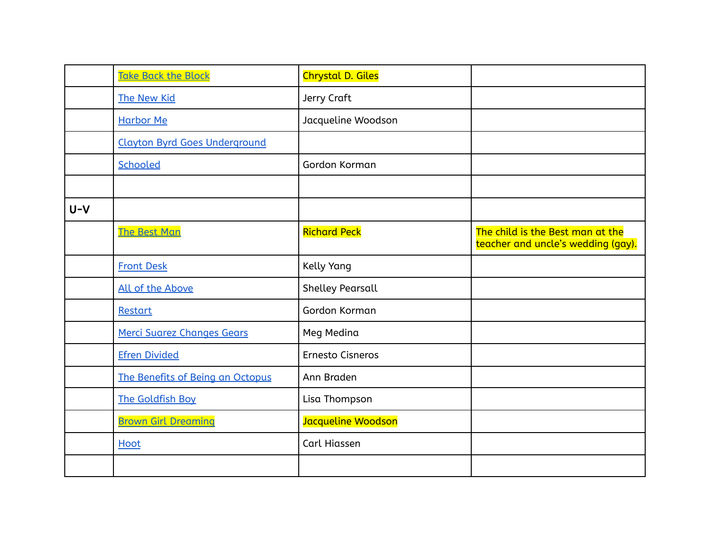|       | <b>Take Back the Block</b>           | <b>Chrystal D. Giles</b> |                                                                        |
|-------|--------------------------------------|--------------------------|------------------------------------------------------------------------|
|       | The New Kid                          | Jerry Craft              |                                                                        |
|       | <b>Harbor Me</b>                     | Jacqueline Woodson       |                                                                        |
|       | <b>Clayton Byrd Goes Underground</b> |                          |                                                                        |
|       | Schooled                             | Gordon Korman            |                                                                        |
|       |                                      |                          |                                                                        |
| $U-V$ |                                      |                          |                                                                        |
|       | <b>The Best Man</b>                  | <b>Richard Peck</b>      | The child is the Best man at the<br>teacher and uncle's wedding (gay). |
|       | <b>Front Desk</b>                    | Kelly Yang               |                                                                        |
|       | All of the Above                     | <b>Shelley Pearsall</b>  |                                                                        |
|       | Restart                              | Gordon Korman            |                                                                        |
|       | Merci Suarez Changes Gears           | Meg Medina               |                                                                        |
|       | <b>Efren Divided</b>                 | Ernesto Cisneros         |                                                                        |
|       | The Benefits of Being an Octopus     | Ann Braden               |                                                                        |
|       | The Goldfish Boy                     | Lisa Thompson            |                                                                        |
|       | <b>Brown Girl Dreaming</b>           | Jacqueline Woodson       |                                                                        |
|       | Hoot                                 | Carl Hiassen             |                                                                        |
|       |                                      |                          |                                                                        |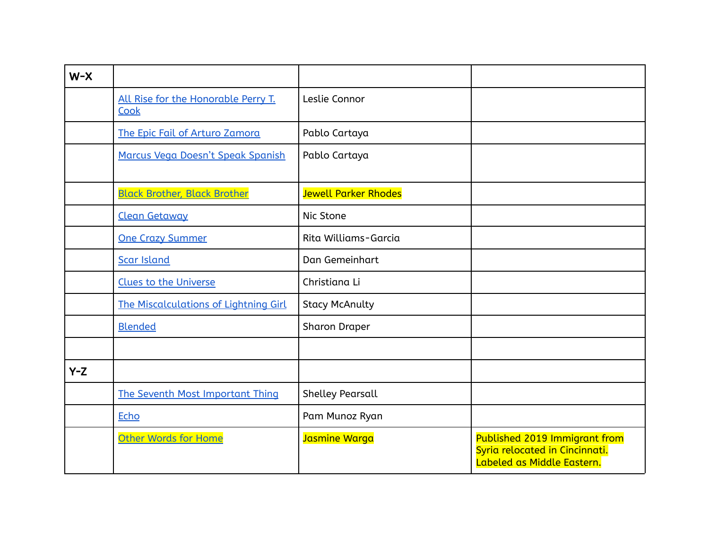| $W-X$ |                                             |                             |                                                                                               |
|-------|---------------------------------------------|-----------------------------|-----------------------------------------------------------------------------------------------|
|       | All Rise for the Honorable Perry T.<br>Cook | Leslie Connor               |                                                                                               |
|       | The Epic Fail of Arturo Zamora              | Pablo Cartaya               |                                                                                               |
|       | Marcus Vega Doesn't Speak Spanish           | Pablo Cartaya               |                                                                                               |
|       | <b>Black Brother, Black Brother</b>         | <b>Jewell Parker Rhodes</b> |                                                                                               |
|       | <b>Clean Getaway</b>                        | Nic Stone                   |                                                                                               |
|       | <b>One Crazy Summer</b>                     | Rita Williams-Garcia        |                                                                                               |
|       | Scar Island                                 | Dan Gemeinhart              |                                                                                               |
|       | <b>Clues to the Universe</b>                | Christiana Li               |                                                                                               |
|       | The Miscalculations of Lightning Girl       | <b>Stacy McAnulty</b>       |                                                                                               |
|       | <b>Blended</b>                              | <b>Sharon Draper</b>        |                                                                                               |
|       |                                             |                             |                                                                                               |
| $Y-Z$ |                                             |                             |                                                                                               |
|       | The Seventh Most Important Thing            | <b>Shelley Pearsall</b>     |                                                                                               |
|       | <b>Echo</b>                                 | Pam Munoz Ryan              |                                                                                               |
|       | Other Words for Home                        | Jasmine Warga               | Published 2019 Immigrant from<br>Syria relocated in Cincinnati.<br>Labeled as Middle Eastern. |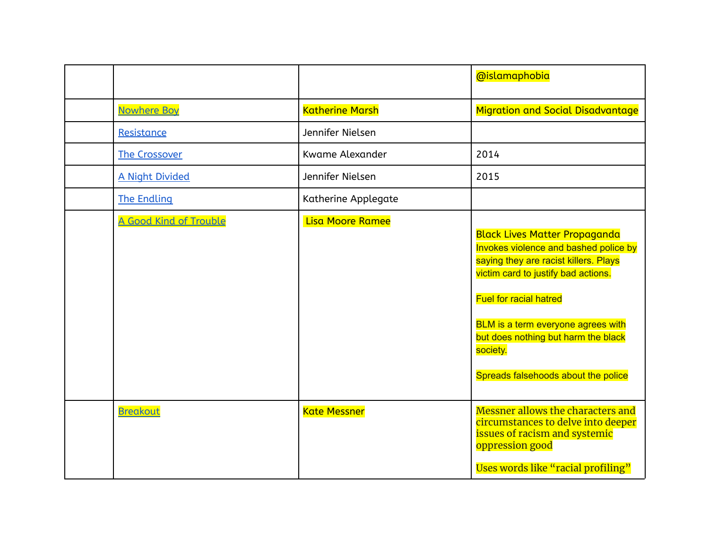|                        |                        | @islamaphobia                                                                                                                                                                                                                                                                                                                  |
|------------------------|------------------------|--------------------------------------------------------------------------------------------------------------------------------------------------------------------------------------------------------------------------------------------------------------------------------------------------------------------------------|
| <b>Nowhere Boy</b>     | <b>Katherine Marsh</b> | <b>Migration and Social Disadvantage</b>                                                                                                                                                                                                                                                                                       |
| Resistance             | Jennifer Nielsen       |                                                                                                                                                                                                                                                                                                                                |
| <b>The Crossover</b>   | <b>Kwame Alexander</b> | 2014                                                                                                                                                                                                                                                                                                                           |
| <b>A Night Divided</b> | Jennifer Nielsen       | 2015                                                                                                                                                                                                                                                                                                                           |
| <b>The Endling</b>     | Katherine Applegate    |                                                                                                                                                                                                                                                                                                                                |
| A Good Kind of Trouble | Lisa Moore Ramee       | <b>Black Lives Matter Propaganda</b><br>Invokes violence and bashed police by<br>saying they are racist killers. Plays<br>victim card to justify bad actions.<br><b>Fuel for racial hatred</b><br>BLM is a term everyone agrees with<br>but does nothing but harm the black<br>society.<br>Spreads falsehoods about the police |
| <b>Breakout</b>        | <b>Kate Messner</b>    | Messner allows the characters and<br>circumstances to delve into deeper<br>issues of racism and systemic<br>oppression good<br>Uses words like "racial profiling"                                                                                                                                                              |